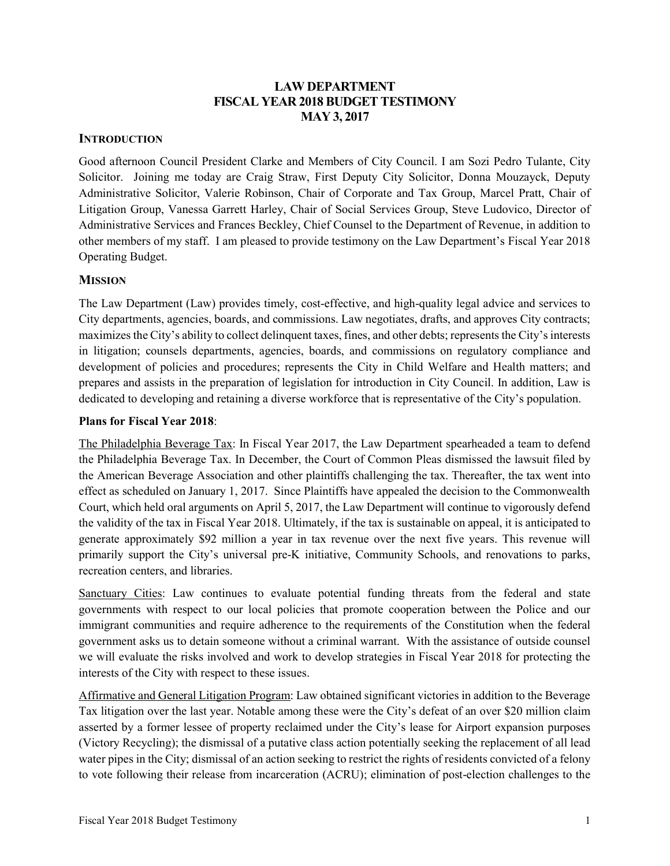## LAW DEPARTMENT FISCAL YEAR 2018 BUDGET TESTIMONY MAY 3, 2017

### **INTRODUCTION**

Good afternoon Council President Clarke and Members of City Council. I am Sozi Pedro Tulante, City Solicitor. Joining me today are Craig Straw, First Deputy City Solicitor, Donna Mouzayck, Deputy Administrative Solicitor, Valerie Robinson, Chair of Corporate and Tax Group, Marcel Pratt, Chair of Litigation Group, Vanessa Garrett Harley, Chair of Social Services Group, Steve Ludovico, Director of Administrative Services and Frances Beckley, Chief Counsel to the Department of Revenue, in addition to other members of my staff. I am pleased to provide testimony on the Law Department's Fiscal Year 2018 Operating Budget.

### **MISSION**

The Law Department (Law) provides timely, cost-effective, and high-quality legal advice and services to City departments, agencies, boards, and commissions. Law negotiates, drafts, and approves City contracts; maximizes the City's ability to collect delinquent taxes, fines, and other debts; represents the City's interests in litigation; counsels departments, agencies, boards, and commissions on regulatory compliance and development of policies and procedures; represents the City in Child Welfare and Health matters; and prepares and assists in the preparation of legislation for introduction in City Council. In addition, Law is dedicated to developing and retaining a diverse workforce that is representative of the City's population.

### Plans for Fiscal Year 2018:

The Philadelphia Beverage Tax: In Fiscal Year 2017, the Law Department spearheaded a team to defend the Philadelphia Beverage Tax. In December, the Court of Common Pleas dismissed the lawsuit filed by the American Beverage Association and other plaintiffs challenging the tax. Thereafter, the tax went into effect as scheduled on January 1, 2017. Since Plaintiffs have appealed the decision to the Commonwealth Court, which held oral arguments on April 5, 2017, the Law Department will continue to vigorously defend the validity of the tax in Fiscal Year 2018. Ultimately, if the tax is sustainable on appeal, it is anticipated to generate approximately \$92 million a year in tax revenue over the next five years. This revenue will primarily support the City's universal pre-K initiative, Community Schools, and renovations to parks, recreation centers, and libraries.

Sanctuary Cities: Law continues to evaluate potential funding threats from the federal and state governments with respect to our local policies that promote cooperation between the Police and our immigrant communities and require adherence to the requirements of the Constitution when the federal government asks us to detain someone without a criminal warrant. With the assistance of outside counsel we will evaluate the risks involved and work to develop strategies in Fiscal Year 2018 for protecting the interests of the City with respect to these issues.

Affirmative and General Litigation Program: Law obtained significant victories in addition to the Beverage Tax litigation over the last year. Notable among these were the City's defeat of an over \$20 million claim asserted by a former lessee of property reclaimed under the City's lease for Airport expansion purposes (Victory Recycling); the dismissal of a putative class action potentially seeking the replacement of all lead water pipes in the City; dismissal of an action seeking to restrict the rights of residents convicted of a felony to vote following their release from incarceration (ACRU); elimination of post-election challenges to the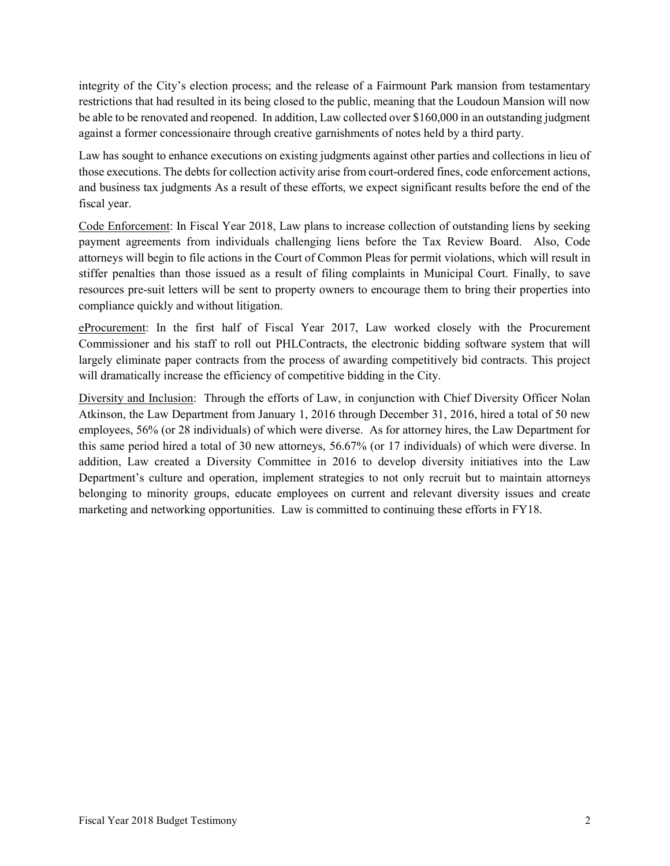integrity of the City's election process; and the release of a Fairmount Park mansion from testamentary restrictions that had resulted in its being closed to the public, meaning that the Loudoun Mansion will now be able to be renovated and reopened. In addition, Law collected over \$160,000 in an outstanding judgment against a former concessionaire through creative garnishments of notes held by a third party.

Law has sought to enhance executions on existing judgments against other parties and collections in lieu of those executions. The debts for collection activity arise from court-ordered fines, code enforcement actions, and business tax judgments As a result of these efforts, we expect significant results before the end of the fiscal year.

Code Enforcement: In Fiscal Year 2018, Law plans to increase collection of outstanding liens by seeking payment agreements from individuals challenging liens before the Tax Review Board. Also, Code attorneys will begin to file actions in the Court of Common Pleas for permit violations, which will result in stiffer penalties than those issued as a result of filing complaints in Municipal Court. Finally, to save resources pre-suit letters will be sent to property owners to encourage them to bring their properties into compliance quickly and without litigation.

eProcurement: In the first half of Fiscal Year 2017, Law worked closely with the Procurement Commissioner and his staff to roll out PHLContracts, the electronic bidding software system that will largely eliminate paper contracts from the process of awarding competitively bid contracts. This project will dramatically increase the efficiency of competitive bidding in the City.

Diversity and Inclusion: Through the efforts of Law, in conjunction with Chief Diversity Officer Nolan Atkinson, the Law Department from January 1, 2016 through December 31, 2016, hired a total of 50 new employees, 56% (or 28 individuals) of which were diverse. As for attorney hires, the Law Department for this same period hired a total of 30 new attorneys, 56.67% (or 17 individuals) of which were diverse. In addition, Law created a Diversity Committee in 2016 to develop diversity initiatives into the Law Department's culture and operation, implement strategies to not only recruit but to maintain attorneys belonging to minority groups, educate employees on current and relevant diversity issues and create marketing and networking opportunities. Law is committed to continuing these efforts in FY18.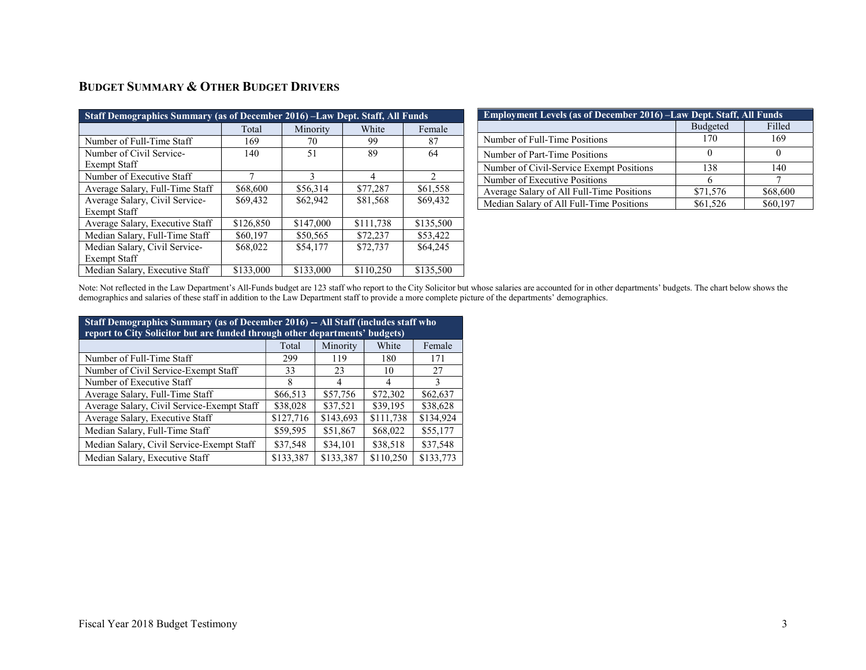## BUDGET SUMMARY & OTHER BUDGET DRIVERS

| Staff Demographics Summary (as of December 2016) – Law Dept. Staff, All Funds |           |           |           |               |  |  |  |  |
|-------------------------------------------------------------------------------|-----------|-----------|-----------|---------------|--|--|--|--|
|                                                                               | Total     | Minority  | White     | Female        |  |  |  |  |
| Number of Full-Time Staff                                                     | 169       | 70        | 99        | 87            |  |  |  |  |
| Number of Civil Service-                                                      | 140       | 51        | 89        | 64            |  |  |  |  |
| Exempt Staff                                                                  |           |           |           |               |  |  |  |  |
| Number of Executive Staff                                                     | 7         | 3         | 4         | $\mathcal{D}$ |  |  |  |  |
| Average Salary, Full-Time Staff                                               | \$68,600  | \$56,314  | \$77,287  | \$61,558      |  |  |  |  |
| Average Salary, Civil Service-                                                | \$69,432  | \$62,942  | \$81,568  | \$69,432      |  |  |  |  |
| <b>Exempt Staff</b>                                                           |           |           |           |               |  |  |  |  |
| Average Salary, Executive Staff                                               | \$126,850 | \$147,000 | \$111,738 | \$135,500     |  |  |  |  |
| Median Salary, Full-Time Staff                                                | \$60,197  | \$50,565  | \$72,237  | \$53,422      |  |  |  |  |
| Median Salary, Civil Service-                                                 | \$68,022  | \$54,177  | \$72,737  | \$64,245      |  |  |  |  |
| <b>Exempt Staff</b>                                                           |           |           |           |               |  |  |  |  |
| Median Salary, Executive Staff                                                | \$133,000 | \$133,000 | \$110,250 | \$135,500     |  |  |  |  |

| <b>Employment Levels (as of December 2016) -Law Dept. Staff, All Funds</b> |          |          |  |  |  |  |  |
|----------------------------------------------------------------------------|----------|----------|--|--|--|--|--|
|                                                                            | Budgeted | Filled   |  |  |  |  |  |
| Number of Full-Time Positions                                              | 170      | 169      |  |  |  |  |  |
| Number of Part-Time Positions                                              |          |          |  |  |  |  |  |
| Number of Civil-Service Exempt Positions                                   | 138      | 140      |  |  |  |  |  |
| Number of Executive Positions                                              |          |          |  |  |  |  |  |
| Average Salary of All Full-Time Positions                                  | \$71,576 | \$68,600 |  |  |  |  |  |
| Median Salary of All Full-Time Positions                                   | \$61,526 | \$60,197 |  |  |  |  |  |

Note: Not reflected in the Law Department's All-Funds budget are 123 staff who report to the City Solicitor but whose salaries are accounted for in other departments' budgets. The chart below shows the demographics and salaries of these staff in addition to the Law Department staff to provide a more complete picture of the departments' demographics.

| Staff Demographics Summary (as of December 2016) -- All Staff (includes staff who<br>report to City Solicitor but are funded through other departments' budgets) |           |           |           |           |  |  |  |  |
|------------------------------------------------------------------------------------------------------------------------------------------------------------------|-----------|-----------|-----------|-----------|--|--|--|--|
| White<br>Minority<br>Female<br>Total                                                                                                                             |           |           |           |           |  |  |  |  |
| Number of Full-Time Staff                                                                                                                                        | 299       | 119       | 180       | 171       |  |  |  |  |
| Number of Civil Service-Exempt Staff                                                                                                                             | 33        | 23        | 10        | 27        |  |  |  |  |
| Number of Executive Staff                                                                                                                                        | 8         | 4         | 4         | 3         |  |  |  |  |
| Average Salary, Full-Time Staff                                                                                                                                  | \$66,513  | \$57,756  | \$72,302  | \$62,637  |  |  |  |  |
| Average Salary, Civil Service-Exempt Staff                                                                                                                       | \$38,028  | \$37,521  | \$39,195  | \$38,628  |  |  |  |  |
| Average Salary, Executive Staff                                                                                                                                  | \$127,716 | \$143,693 | \$111,738 | \$134,924 |  |  |  |  |
| Median Salary, Full-Time Staff                                                                                                                                   | \$59,595  | \$51,867  | \$68,022  | \$55,177  |  |  |  |  |
| Median Salary, Civil Service-Exempt Staff                                                                                                                        | \$37,548  | \$34,101  | \$38,518  | \$37,548  |  |  |  |  |
| Median Salary, Executive Staff                                                                                                                                   | \$133,387 | \$133,387 | \$110,250 | \$133,773 |  |  |  |  |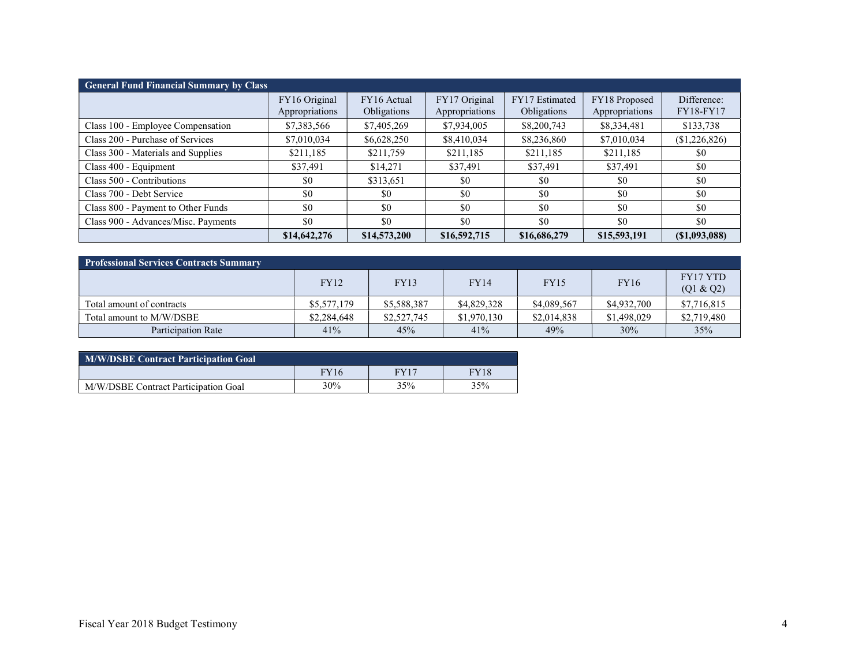| <b>General Fund Financial Summary by Class</b> |                                 |                            |                                 |                               |                                 |                                 |  |  |
|------------------------------------------------|---------------------------------|----------------------------|---------------------------------|-------------------------------|---------------------------------|---------------------------------|--|--|
|                                                | FY16 Original<br>Appropriations | FY16 Actual<br>Obligations | FY17 Original<br>Appropriations | FY17 Estimated<br>Obligations | FY18 Proposed<br>Appropriations | Difference:<br><b>FY18-FY17</b> |  |  |
| Class 100 - Employee Compensation              | \$7,383,566                     | \$7,405,269                | \$7,934,005                     | \$8,200,743                   | \$8,334,481                     | \$133,738                       |  |  |
| Class 200 - Purchase of Services               | \$7,010,034                     | \$6,628,250                | \$8,410,034                     | \$8,236,860                   | \$7,010,034                     | (\$1,226,826)                   |  |  |
| Class 300 - Materials and Supplies             | \$211,185                       | \$211,759                  | \$211,185                       | \$211,185                     | \$211,185                       | \$0                             |  |  |
| Class 400 - Equipment                          | \$37,491                        | \$14,271                   | \$37,491                        | \$37,491                      | \$37,491                        | \$0                             |  |  |
| Class 500 - Contributions                      | \$0                             | \$313,651                  | \$0                             | \$0                           | \$0                             | \$0                             |  |  |
| Class 700 - Debt Service                       | \$0                             | \$0                        | \$0                             | \$0                           | \$0                             | \$0                             |  |  |
| Class 800 - Payment to Other Funds             | \$0                             | \$0                        | \$0                             | \$0                           | \$0                             | \$0                             |  |  |
| Class 900 - Advances/Misc. Payments            | \$0                             | \$0                        | \$0                             | \$0                           | \$0                             | \$0                             |  |  |
|                                                | \$14,642,276                    | \$14,573,200               | \$16,592,715                    | \$16,686,279                  | \$15,593,191                    | (S1,093,088)                    |  |  |

| <b>Professional Services Contracts Summary</b> |             |             |             |             |             |                              |  |  |
|------------------------------------------------|-------------|-------------|-------------|-------------|-------------|------------------------------|--|--|
|                                                | <b>FY12</b> | <b>FY13</b> | <b>FY14</b> | FY15        | <b>FY16</b> | <b>FY17 YTD</b><br>(Q1 & Q2) |  |  |
| Total amount of contracts                      | \$5,577,179 | \$5,588,387 | \$4,829,328 | \$4,089,567 | \$4,932,700 | \$7,716,815                  |  |  |
| Total amount to M/W/DSBE                       | \$2,284,648 | \$2,527,745 | \$1,970,130 | \$2,014,838 | \$1,498,029 | \$2,719,480                  |  |  |
| <b>Participation Rate</b>                      | 41%         | 45%         | 41%         | 49%         | 30%         | 35%                          |  |  |

| M/W/DSBE Contract Participation Goal |             |             |      |  |  |  |  |
|--------------------------------------|-------------|-------------|------|--|--|--|--|
|                                      | <b>FY16</b> | <b>FY17</b> | FY18 |  |  |  |  |
| M/W/DSBE Contract Participation Goal | 30%         | 35%         | 35%  |  |  |  |  |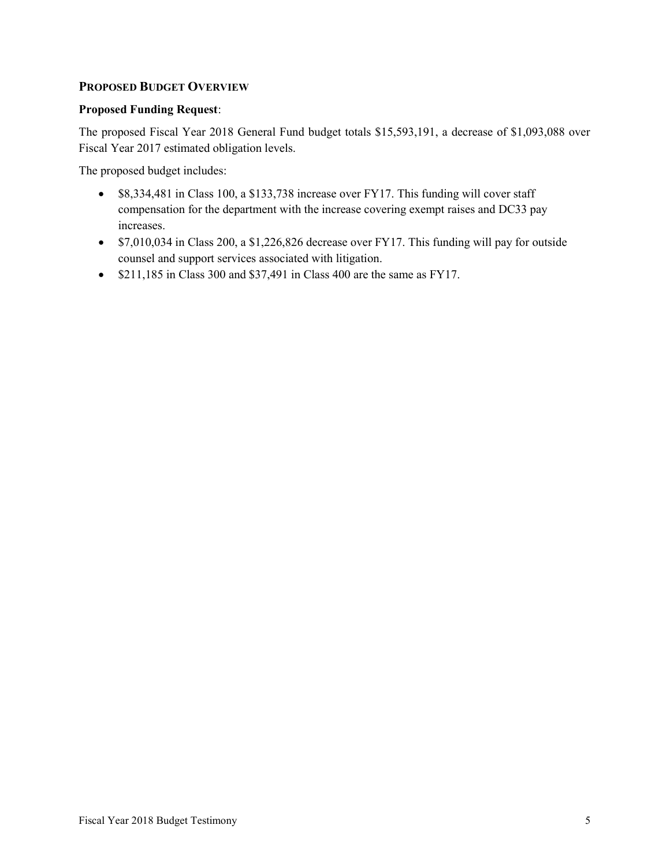### PROPOSED BUDGET OVERVIEW

#### Proposed Funding Request:

The proposed Fiscal Year 2018 General Fund budget totals \$15,593,191, a decrease of \$1,093,088 over Fiscal Year 2017 estimated obligation levels.

The proposed budget includes:

- \$8,334,481 in Class 100, a \$133,738 increase over FY17. This funding will cover staff compensation for the department with the increase covering exempt raises and DC33 pay increases.
- \$7,010,034 in Class 200, a \$1,226,826 decrease over FY17. This funding will pay for outside counsel and support services associated with litigation.
- $\bullet$  \$211,185 in Class 300 and \$37,491 in Class 400 are the same as FY17.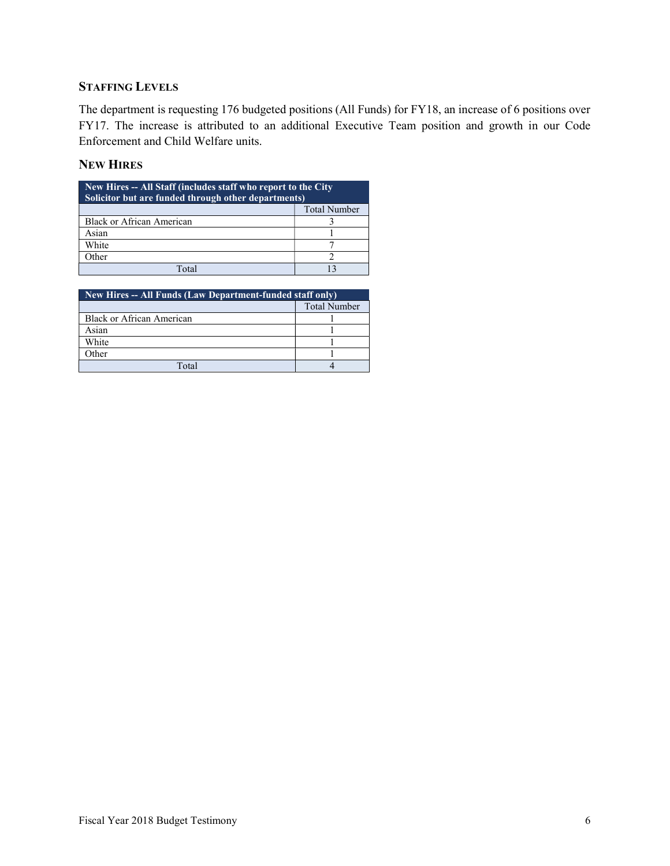## STAFFING LEVELS

The department is requesting 176 budgeted positions (All Funds) for FY18, an increase of 6 positions over FY17. The increase is attributed to an additional Executive Team position and growth in our Code Enforcement and Child Welfare units.

### NEW HIRES

| New Hires -- All Staff (includes staff who report to the City<br>Solicitor but are funded through other departments) |                     |  |  |  |  |
|----------------------------------------------------------------------------------------------------------------------|---------------------|--|--|--|--|
|                                                                                                                      | <b>Total Number</b> |  |  |  |  |
| Black or African American                                                                                            |                     |  |  |  |  |
| Asian                                                                                                                |                     |  |  |  |  |
| White                                                                                                                |                     |  |  |  |  |
| Other                                                                                                                |                     |  |  |  |  |
| $\Gamma_{\Omega}$ tal                                                                                                |                     |  |  |  |  |

| New Hires -- All Funds (Law Department-funded staff only) |                     |  |  |  |  |
|-----------------------------------------------------------|---------------------|--|--|--|--|
|                                                           | <b>Total Number</b> |  |  |  |  |
| Black or African American                                 |                     |  |  |  |  |
| Asian                                                     |                     |  |  |  |  |
| White                                                     |                     |  |  |  |  |
| Other                                                     |                     |  |  |  |  |
| Total                                                     |                     |  |  |  |  |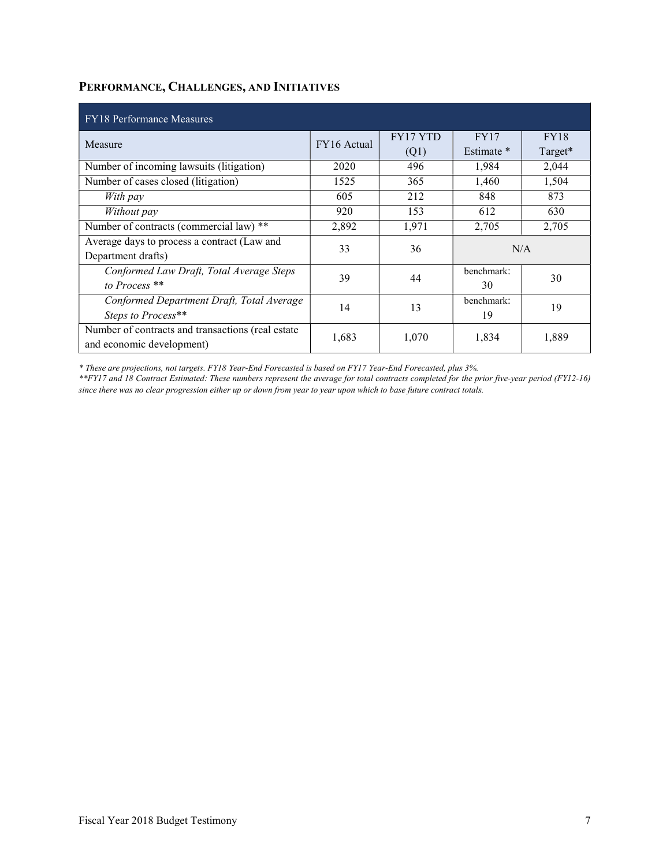## PERFORMANCE, CHALLENGES, AND INITIATIVES

| <b>FY18 Performance Measures</b>                  |             |          |             |             |  |  |  |
|---------------------------------------------------|-------------|----------|-------------|-------------|--|--|--|
| Measure                                           | FY16 Actual | FY17 YTD | <b>FY17</b> | <b>FY18</b> |  |  |  |
|                                                   |             | (Q1)     | Estimate *  | Target*     |  |  |  |
| Number of incoming lawsuits (litigation)          | 2020        | 496      | 1,984       | 2,044       |  |  |  |
| Number of cases closed (litigation)               | 1525        | 365      | 1,460       | 1,504       |  |  |  |
| With pay                                          | 605         | 212      | 848         | 873         |  |  |  |
| Without pay                                       | 920         | 153      | 612         | 630         |  |  |  |
| Number of contracts (commercial law) **           | 2,892       | 1,971    | 2,705       | 2,705       |  |  |  |
| Average days to process a contract (Law and       | 33          | 36       |             | N/A         |  |  |  |
| Department drafts)                                |             |          |             |             |  |  |  |
| Conformed Law Draft, Total Average Steps          | 39          | 44       | benchmark:  | 30          |  |  |  |
| to Process <sup>**</sup>                          |             |          | 30          |             |  |  |  |
| Conformed Department Draft, Total Average         | 14          | 13       | benchmark:  | 19          |  |  |  |
| Steps to Process**                                |             |          | 19          |             |  |  |  |
| Number of contracts and transactions (real estate | 1,683       | 1,070    | 1,834       | 1,889       |  |  |  |
| and economic development)                         |             |          |             |             |  |  |  |

\* These are projections, not targets. FY18 Year-End Forecasted is based on FY17 Year-End Forecasted, plus 3%.

\*\*FY17 and 18 Contract Estimated: These numbers represent the average for total contracts completed for the prior five-year period (FY12-16) since there was no clear progression either up or down from year to year upon which to base future contract totals.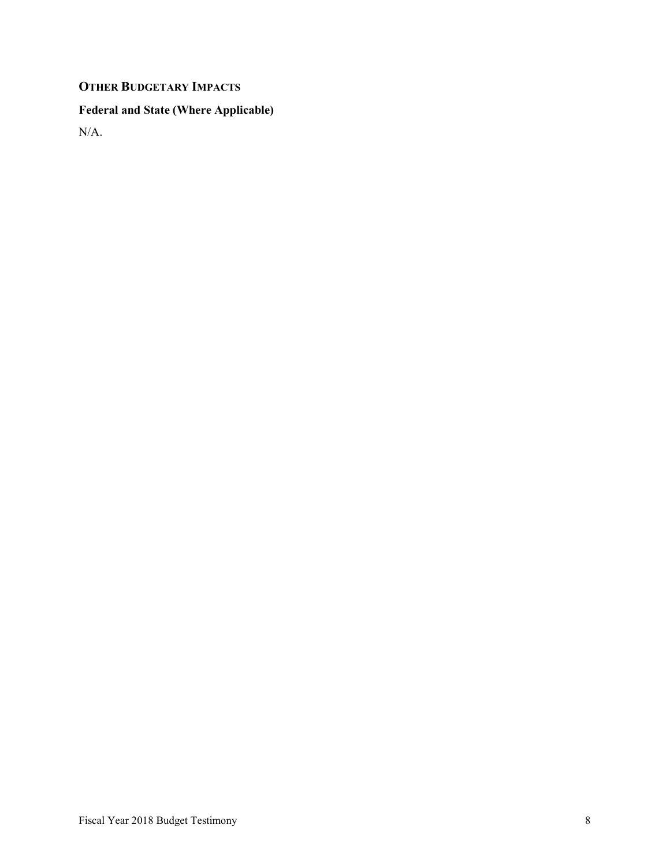# OTHER BUDGETARY IMPACTS

## Federal and State (Where Applicable)

N/A.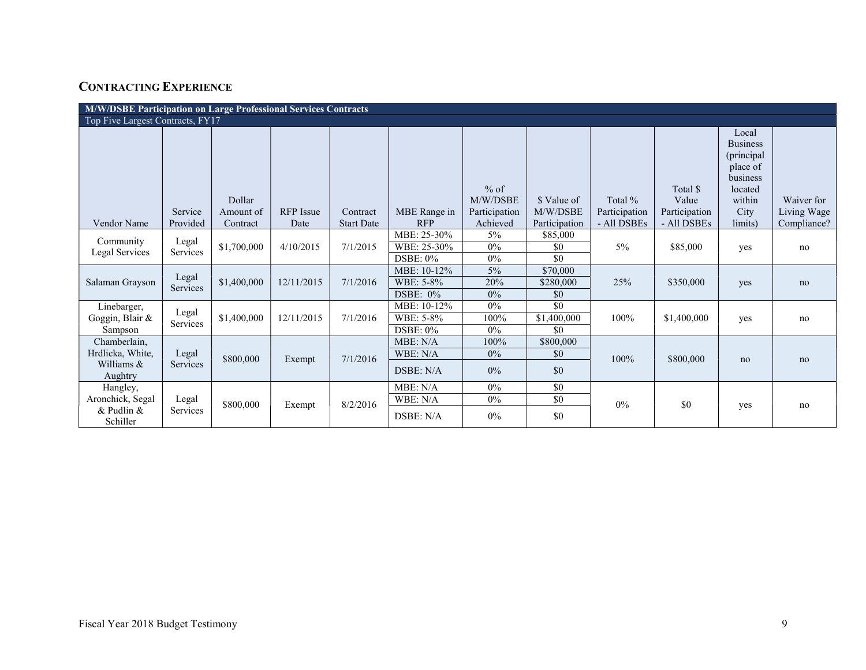# CONTRACTING EXPERIENCE

| M/W/DSBE Participation on Large Professional Services Contracts |                   |             |                  |                   |                                           |                        |                              |               |                   |                                                                                     |             |
|-----------------------------------------------------------------|-------------------|-------------|------------------|-------------------|-------------------------------------------|------------------------|------------------------------|---------------|-------------------|-------------------------------------------------------------------------------------|-------------|
| Top Five Largest Contracts, FY17                                |                   |             |                  |                   |                                           |                        |                              |               |                   |                                                                                     |             |
|                                                                 |                   | Dollar      |                  |                   |                                           | $%$ of<br>M/W/DSBE     | \$ Value of                  | Total %       | Total \$<br>Value | Local<br><b>Business</b><br>(principal<br>place of<br>business<br>located<br>within | Waiver for  |
|                                                                 | Service           | Amount of   | <b>RFP</b> Issue | Contract          | MBE Range in                              | Participation          | M/W/DSBE                     | Participation | Participation     | City                                                                                | Living Wage |
| Vendor Name                                                     | Provided          | Contract    | Date             | <b>Start Date</b> | <b>RFP</b>                                | Achieved               | Participation                | - All DSBEs   | - All DSBEs       | limits)                                                                             | Compliance? |
| Community<br>Legal Services                                     | Legal<br>Services | \$1,700,000 | 4/10/2015        | 7/1/2015          | MBE: 25-30%<br>WBE: 25-30%<br>$DSBE: 0\%$ | $5\%$<br>0%<br>$0\%$   | \$85,000<br>\$0<br>\$0       | $5\%$         | \$85,000          | yes                                                                                 | no          |
| Salaman Grayson                                                 | Legal<br>Services | \$1,400,000 | 12/11/2015       | 7/1/2016          | MBE: 10-12%<br>WBE: 5-8%<br>DSBE: $0\%$   | $5\%$<br>20%<br>$0\%$  | \$70,000<br>\$280,000<br>\$0 | 25%           | \$350,000         | yes                                                                                 | no          |
| Linebarger,<br>Goggin, Blair &<br>Sampson                       | Legal<br>Services | \$1,400,000 | 12/11/2015       | 7/1/2016          | MBE: 10-12%<br>WBE: 5-8%<br>DSBE: $0\%$   | $0\%$<br>100%<br>$0\%$ | \$0<br>\$1,400,000<br>\$0    | 100%          | \$1,400,000       | yes                                                                                 | no          |
| Chamberlain,<br>Hrdlicka, White,<br>Williams &<br>Aughtry       | Legal<br>Services | \$800,000   | Exempt           | 7/1/2016          | MBE: N/A<br>WBE: N/A<br>DSBE: N/A         | 100%<br>$0\%$<br>$0\%$ | \$800,000<br>\$0<br>\$0      | 100%          | \$800,000         | no                                                                                  | no          |
| Hangley,<br>Aronchick, Segal<br>& Pudlin &<br>Schiller          | Legal<br>Services | \$800,000   | Exempt           | 8/2/2016          | MBE: N/A<br>WBE: N/A<br>DSBE: N/A         | 0%<br>$0\%$<br>$0\%$   | \$0<br>\$0<br>\$0            | 0%            | \$0               | yes                                                                                 | no          |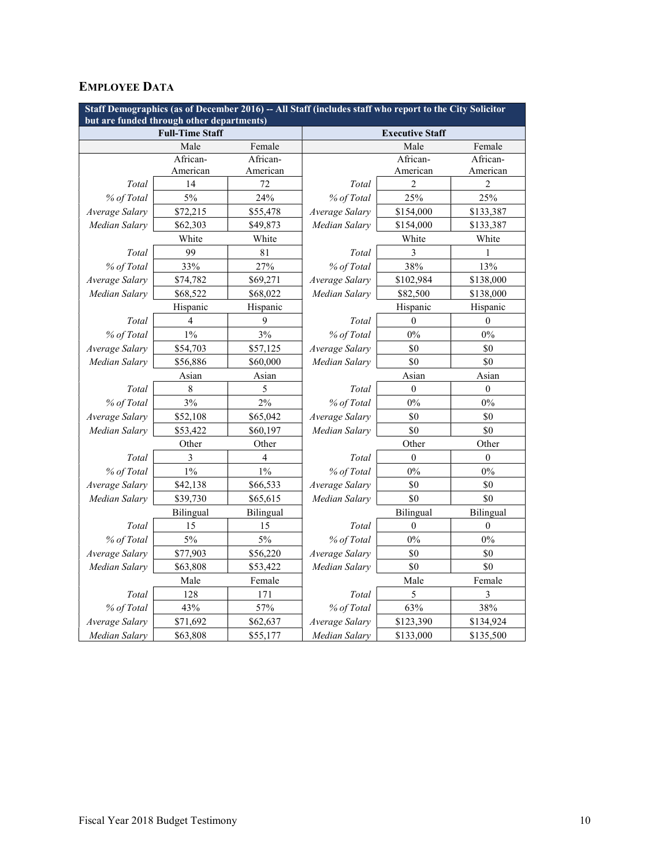## EMPLOYEE DATA

| Staff Demographics (as of December 2016) -- All Staff (includes staff who report to the City Solicitor<br>but are funded through other departments) |                        |           |                        |                  |              |  |  |
|-----------------------------------------------------------------------------------------------------------------------------------------------------|------------------------|-----------|------------------------|------------------|--------------|--|--|
|                                                                                                                                                     | <b>Full-Time Staff</b> |           | <b>Executive Staff</b> |                  |              |  |  |
|                                                                                                                                                     | Male                   | Female    |                        | Male             | Female       |  |  |
|                                                                                                                                                     | African-               | African-  |                        | African-         | African-     |  |  |
|                                                                                                                                                     | American               | American  |                        | American         | American     |  |  |
| Total                                                                                                                                               | 14                     | 72        | Total                  | 2                | 2            |  |  |
| % of Total                                                                                                                                          | 5%                     | 24%       | % of Total             | 25%              | 25%          |  |  |
| Average Salary                                                                                                                                      | \$72,215               | \$55,478  | Average Salary         | \$154,000        | \$133,387    |  |  |
| Median Salarv                                                                                                                                       | \$62,303               | \$49,873  | Median Salarv          | \$154,000        | \$133,387    |  |  |
|                                                                                                                                                     | White                  | White     |                        | White            | White        |  |  |
| Total                                                                                                                                               | 99                     | 81        | Total                  | 3                | 1            |  |  |
| % of Total                                                                                                                                          | 33%                    | 27%       | % of Total             | 38%              | 13%          |  |  |
| Average Salary                                                                                                                                      | \$74,782               | \$69,271  | Average Salary         | \$102,984        | \$138,000    |  |  |
| Median Salary                                                                                                                                       | \$68,522               | \$68,022  | Median Salary          | \$82,500         | \$138,000    |  |  |
|                                                                                                                                                     | Hispanic               | Hispanic  |                        | Hispanic         | Hispanic     |  |  |
| Total                                                                                                                                               | 4                      | 9         | Total                  | 0                | 0            |  |  |
| % of Total                                                                                                                                          | $1\%$                  | 3%        | % of Total             | 0%               | $0\%$        |  |  |
| Average Salary                                                                                                                                      | \$54,703               | \$57,125  | Average Salary         | \$0              | \$0          |  |  |
| Median Salarv                                                                                                                                       | \$56,886               | \$60,000  | \$0<br>Median Salarv   |                  | \$0          |  |  |
|                                                                                                                                                     | Asian                  | Asian     | Asian                  |                  | Asian        |  |  |
| Total                                                                                                                                               | 8                      | 5         | Total                  | $\mathbf{0}$     | $\theta$     |  |  |
| % of Total                                                                                                                                          | 3%                     | $2\%$     | % of Total             | $0\%$            | $0\%$        |  |  |
| Average Salary                                                                                                                                      | \$52,108               | \$65,042  | Average Salary         | \$0              | \$0          |  |  |
| Median Salary                                                                                                                                       | \$53,422               | \$60,197  | Median Salarv          | \$0              | \$0          |  |  |
|                                                                                                                                                     | Other                  | Other     |                        | Other            | Other        |  |  |
| Total                                                                                                                                               | 3                      | 4         | Total                  | $\mathbf{0}$     | $\mathbf{0}$ |  |  |
| % of Total                                                                                                                                          | $1\%$                  | 1%        | % of Total             | 0%               | $0\%$        |  |  |
| Average Salary                                                                                                                                      | \$42,138               | \$66,533  | Average Salary         | \$0              | \$0          |  |  |
| Median Salarv                                                                                                                                       | \$39,730               | \$65,615  | Median Salarv          | \$0              | \$0          |  |  |
|                                                                                                                                                     | Bilingual              | Bilingual |                        | Bilingual        | Bilingual    |  |  |
| Total                                                                                                                                               | 15                     | 15        | Total                  | $\boldsymbol{0}$ | $\theta$     |  |  |
| % of Total                                                                                                                                          | 5%                     | $5\%$     | % of Total             | $0\%$            | $0\%$        |  |  |
| Average Salary                                                                                                                                      | \$77,903               | \$56,220  | Average Salary         | \$0              | \$0          |  |  |
| Median Salary                                                                                                                                       | \$63,808               | \$53,422  | Median Salary          | \$0              | \$0          |  |  |
|                                                                                                                                                     | Male                   | Female    | Male                   |                  | Female       |  |  |
| Total                                                                                                                                               | 128                    | 171       | Total                  | 5                | 3            |  |  |
| % of Total                                                                                                                                          | 43%                    | 57%       | % of Total             | 63%              | 38%          |  |  |
| Average Salary                                                                                                                                      | \$71,692               | \$62,637  | Average Salary         | \$123,390        | \$134,924    |  |  |
| Median Salarv                                                                                                                                       | \$63,808               | \$55,177  | Median Salary          | \$133,000        | \$135,500    |  |  |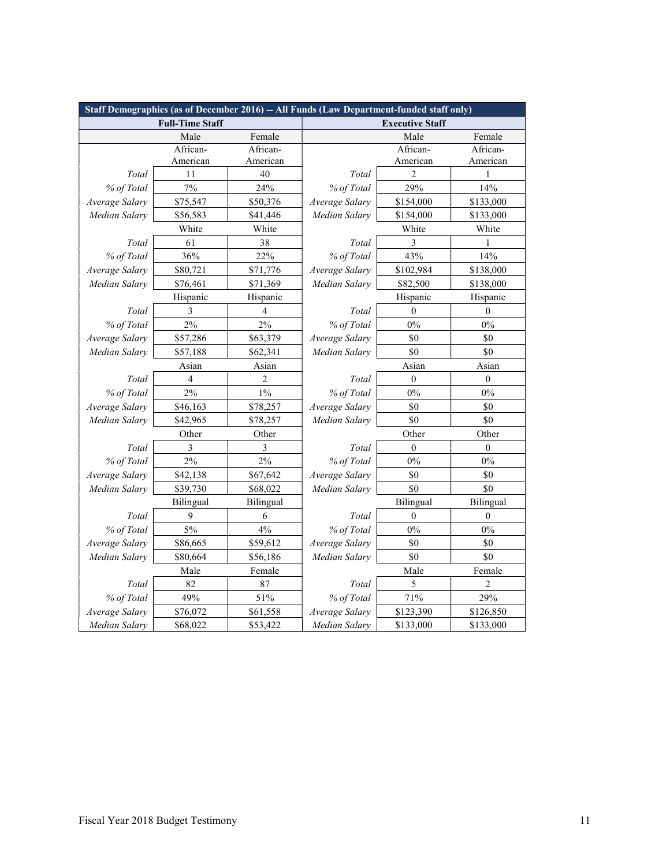| Staff Demographics (as of December 2016) -- All Funds (Law Department-funded staff only) |                        |           |                      |                        |                  |  |  |
|------------------------------------------------------------------------------------------|------------------------|-----------|----------------------|------------------------|------------------|--|--|
|                                                                                          | <b>Full-Time Staff</b> |           |                      | <b>Executive Staff</b> |                  |  |  |
|                                                                                          | Male                   | Female    |                      | Male                   | Female           |  |  |
|                                                                                          | African-               | African-  |                      | African-               | African-         |  |  |
|                                                                                          | American               | American  |                      | American               | American         |  |  |
| Total                                                                                    | 11                     | 40        | Total                | $\overline{2}$         | 1                |  |  |
| % of Total                                                                               | 7%                     | 24%       | % of Total           | 29%                    | 14%              |  |  |
| Average Salary                                                                           | \$75,547               | \$50,376  | Average Salary       | \$154,000              | \$133,000        |  |  |
| Median Salary                                                                            | \$56,583               | \$41,446  | Median Salary        | \$154,000              | \$133,000        |  |  |
|                                                                                          | White                  | White     |                      | White                  | White            |  |  |
| Total                                                                                    | 61                     | 38        | Total                | 3                      |                  |  |  |
| % of Total                                                                               | 36%                    | 22%       | % of Total           | 43%                    | 14%              |  |  |
| Average Salary                                                                           | \$80,721               | \$71,776  | Average Salary       | \$102,984              | \$138,000        |  |  |
| Median Salary                                                                            | \$76,461               | \$71,369  | Median Salary        | \$82,500               | \$138,000        |  |  |
|                                                                                          | Hispanic               | Hispanic  |                      | Hispanic               | Hispanic         |  |  |
| Total                                                                                    | 3                      | 4         | Total                | $\Omega$               | $\theta$         |  |  |
| % of Total                                                                               | 2%                     | 2%        | % of Total           | $0\%$                  | $0\%$            |  |  |
| Average Salary                                                                           | \$57,286               | \$63,379  | Average Salary       | \$0                    | \$0              |  |  |
| Median Salary                                                                            | \$57,188               | \$62,341  | Median Salary<br>\$0 |                        | \$0              |  |  |
|                                                                                          | Asian                  | Asian     | Asian                |                        | Asian            |  |  |
| Total                                                                                    | $\overline{4}$         | 2         | Total                | $\boldsymbol{0}$       | $\boldsymbol{0}$ |  |  |
| % of Total                                                                               | 2%                     | $1\%$     | % of Total           | $0\%$                  | $0\%$            |  |  |
| Average Salary                                                                           | \$46,163               | \$78,257  | Average Salary       | \$0                    | \$0              |  |  |
| Median Salary                                                                            | \$42,965               | \$78,257  | Median Salary        | \$0                    | \$0              |  |  |
|                                                                                          | Other                  | Other     |                      | Other                  | Other            |  |  |
| Total                                                                                    | 3                      | 3         | Total                | $\theta$               | $\theta$         |  |  |
| % of Total                                                                               | 2%                     | 2%        | % of Total           | $0\%$                  | $0\%$            |  |  |
| Average Salary                                                                           | \$42,138               | \$67,642  | Average Salary       | \$0                    | \$0              |  |  |
| Median Salary                                                                            | \$39,730               | \$68,022  | Median Salary        | \$0                    | \$0              |  |  |
|                                                                                          | Bilingual              | Bilingual |                      | Bilingual              | Bilingual        |  |  |
| Total                                                                                    | 9                      | 6         | Total                | $\boldsymbol{0}$       | $\mathbf{0}$     |  |  |
| % of Total                                                                               | 5%                     | 4%        | % of Total           | $0\%$                  | 0%               |  |  |
| Average Salary                                                                           | \$86,665               | \$59,612  | Average Salary       | \$0                    | \$0              |  |  |
| Median Salary                                                                            | \$80,664               | \$56,186  | Median Salary        | \$0                    | \$0              |  |  |
|                                                                                          | Male                   | Female    |                      | Male                   | Female           |  |  |
| Total                                                                                    | 82                     | 87        | Total                | 5                      | 2                |  |  |
| % of Total                                                                               | 49%                    | 51%       | % of Total           | 71%                    | 29%              |  |  |
| Average Salary                                                                           | \$76,072               | \$61,558  | Average Salary       | \$123,390              | \$126,850        |  |  |
| Median Salary                                                                            | \$68,022               | \$53,422  | Median Salary        | \$133,000              | \$133,000        |  |  |